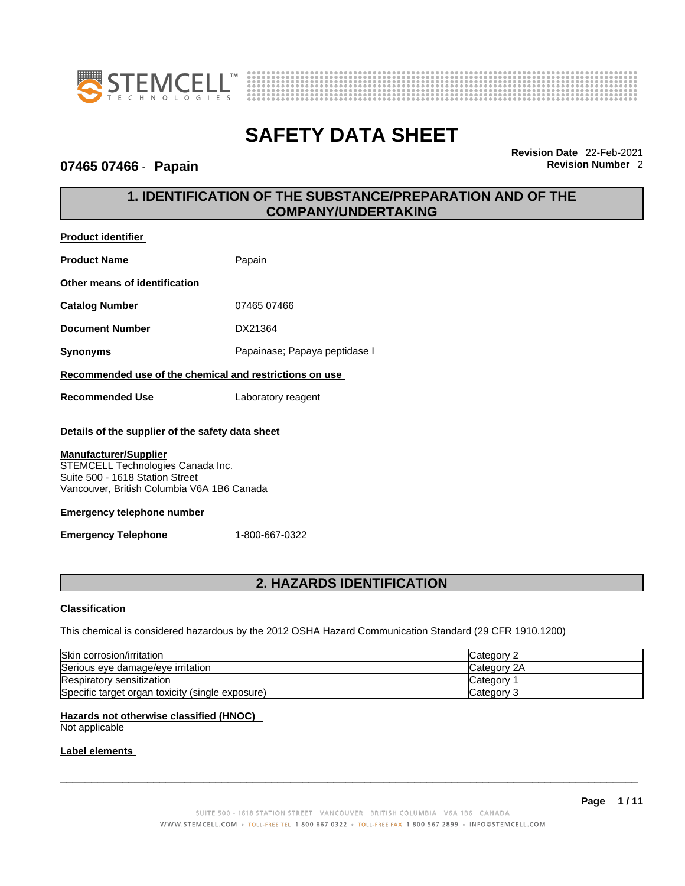



## **07465 07466** - **Papain Revision Number** 2

**Revision Date** 22-Feb-2021

# **1. IDENTIFICATION OF THE SUBSTANCE/PREPARATION AND OF THE COMPANY/UNDERTAKING**

| <b>Product identifier</b>                                                                                                                          |                               |
|----------------------------------------------------------------------------------------------------------------------------------------------------|-------------------------------|
| <b>Product Name</b>                                                                                                                                | Papain                        |
| Other means of identification                                                                                                                      |                               |
| <b>Catalog Number</b>                                                                                                                              | 07465 07466                   |
| <b>Document Number</b>                                                                                                                             | DX21364                       |
| <b>Synonyms</b>                                                                                                                                    | Papainase; Papaya peptidase I |
| Recommended use of the chemical and restrictions on use                                                                                            |                               |
| <b>Recommended Use</b>                                                                                                                             | Laboratory reagent            |
| Details of the supplier of the safety data sheet                                                                                                   |                               |
| <b>Manufacturer/Supplier</b><br>STEMCELL Technologies Canada Inc.<br>Suite 500 - 1618 Station Street<br>Vancouver, British Columbia V6A 1B6 Canada |                               |

### **Emergency telephone number**

**Emergency Telephone** 1-800-667-0322

## **2. HAZARDS IDENTIFICATION**

### **Classification**

This chemical is considered hazardous by the 2012 OSHA Hazard Communication Standard (29 CFR 1910.1200)

| <b>Skin corrosion/irritation</b>                 | Category 1  |
|--------------------------------------------------|-------------|
| Serious eye damage/eye irritation                | Category 2A |
| Respiratory sensitization                        | ′ ategoryٽ  |
| Specific target organ toxicity (single exposure) | lCategory 3 |

#### **Hazards not otherwise classified (HNOC)**

Not applicable

### **Label elements**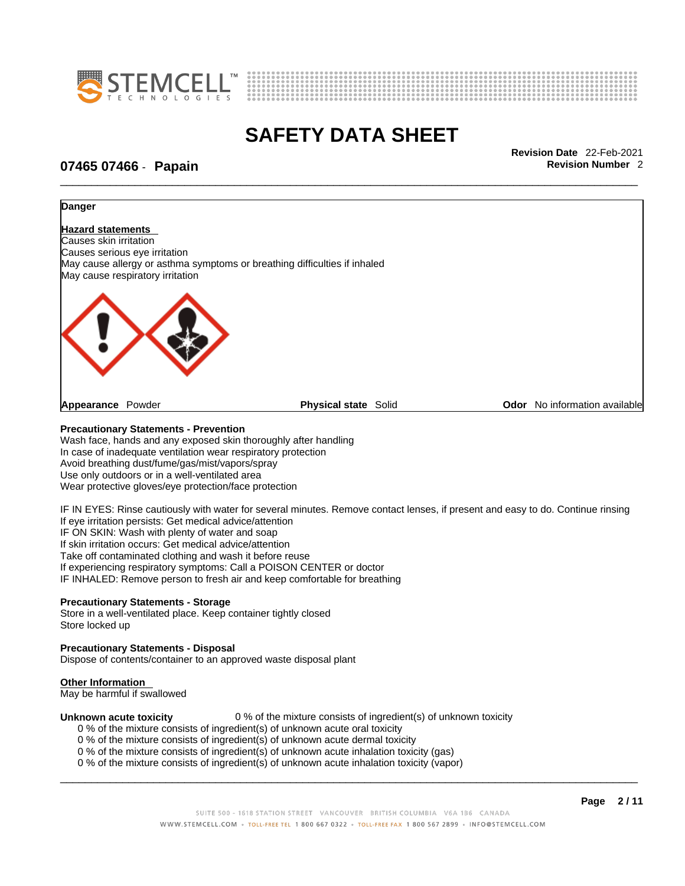



\_\_\_\_\_\_\_\_\_\_\_\_\_\_\_\_\_\_\_\_\_\_\_\_\_\_\_\_\_\_\_\_\_\_\_\_\_\_\_\_\_\_\_\_\_\_\_\_\_\_\_\_\_\_\_\_\_\_\_\_\_\_\_\_\_\_\_\_\_\_\_\_\_\_\_\_\_\_\_\_\_\_\_\_\_\_\_\_\_\_\_\_\_ **Revision Date** 22-Feb-2021

## **07465 07466** - **Papain Revision Number** 2



#### **Precautionary Statements - Prevention**

Wash face, hands and any exposed skin thoroughly after handling In case of inadequate ventilation wear respiratory protection Avoid breathing dust/fume/gas/mist/vapors/spray Use only outdoors or in a well-ventilated area Wear protective gloves/eye protection/face protection

IF IN EYES: Rinse cautiously with water for several minutes. Remove contact lenses, if present and easy to do. Continue rinsing If eye irritation persists: Get medical advice/attention IF ON SKIN: Wash with plenty of water and soap If skin irritation occurs: Get medical advice/attention Take off contaminated clothing and wash it before reuse

If experiencing respiratory symptoms: Call a POISON CENTER or doctor

IF INHALED: Remove person to fresh air and keep comfortable for breathing

#### **Precautionary Statements - Storage**

Store in a well-ventilated place. Keep container tightly closed Store locked up

#### **Precautionary Statements - Disposal**

Dispose of contents/container to an approved waste disposal plant

#### **Other Information**

May be harmful if swallowed

**Unknown acute toxicity** 0 % of the mixture consists of ingredient(s) of unknown toxicity 0 % of the mixture consists of ingredient(s) of unknown acute oral toxicity

- 0 % of the mixture consists of ingredient(s) of unknown acute dermal toxicity
- 0 % of the mixture consists of ingredient(s) of unknown acute inhalation toxicity (gas)
- 0 % of the mixture consists of ingredient(s) of unknown acute inhalation toxicity (vapor)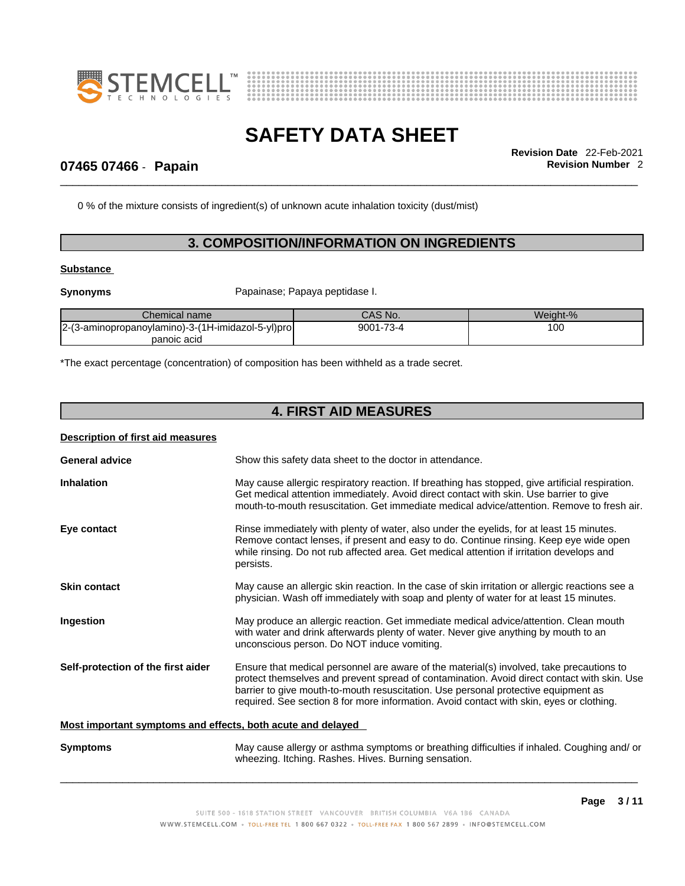



\_\_\_\_\_\_\_\_\_\_\_\_\_\_\_\_\_\_\_\_\_\_\_\_\_\_\_\_\_\_\_\_\_\_\_\_\_\_\_\_\_\_\_\_\_\_\_\_\_\_\_\_\_\_\_\_\_\_\_\_\_\_\_\_\_\_\_\_\_\_\_\_\_\_\_\_\_\_\_\_\_\_\_\_\_\_\_\_\_\_\_\_\_ **Revision Date** 22-Feb-2021

## **07465 07466** - **Papain Revision Number** 2

0 % of the mixture consists of ingredient(s) of unknown acute inhalation toxicity (dust/mist)

## **3. COMPOSITION/INFORMATION ON INGREDIENTS**

#### **Substance**

**Synonyms** Papainase; Papaya peptidase I.

| Chemical name                                     | CAS No.   | Weiaht-% |
|---------------------------------------------------|-----------|----------|
| 2-(3-aminopropanoylamino)-3-(1H-imidazol-5-yl)pro | 9001-73-4 | 100      |
| panoic acid                                       |           |          |

\*The exact percentage (concentration) of composition has been withheld as a trade secret.

# **4. FIRST AID MEASURES**

### **Description of first aid measures**

| <b>General advice</b>                                       | Show this safety data sheet to the doctor in attendance.                                                                                                                                                                                                                                                                                                                  |  |  |
|-------------------------------------------------------------|---------------------------------------------------------------------------------------------------------------------------------------------------------------------------------------------------------------------------------------------------------------------------------------------------------------------------------------------------------------------------|--|--|
| <b>Inhalation</b>                                           | May cause allergic respiratory reaction. If breathing has stopped, give artificial respiration.<br>Get medical attention immediately. Avoid direct contact with skin. Use barrier to give<br>mouth-to-mouth resuscitation. Get immediate medical advice/attention. Remove to fresh air.                                                                                   |  |  |
| Eye contact                                                 | Rinse immediately with plenty of water, also under the eyelids, for at least 15 minutes.<br>Remove contact lenses, if present and easy to do. Continue rinsing. Keep eye wide open<br>while rinsing. Do not rub affected area. Get medical attention if irritation develops and<br>persists.                                                                              |  |  |
| <b>Skin contact</b>                                         | May cause an allergic skin reaction. In the case of skin irritation or allergic reactions see a<br>physician. Wash off immediately with soap and plenty of water for at least 15 minutes.                                                                                                                                                                                 |  |  |
| Ingestion                                                   | May produce an allergic reaction. Get immediate medical advice/attention. Clean mouth<br>with water and drink afterwards plenty of water. Never give anything by mouth to an<br>unconscious person. Do NOT induce vomiting.                                                                                                                                               |  |  |
| Self-protection of the first aider                          | Ensure that medical personnel are aware of the material(s) involved, take precautions to<br>protect themselves and prevent spread of contamination. Avoid direct contact with skin. Use<br>barrier to give mouth-to-mouth resuscitation. Use personal protective equipment as<br>required. See section 8 for more information. Avoid contact with skin, eyes or clothing. |  |  |
| Most important symptoms and effects, both acute and delayed |                                                                                                                                                                                                                                                                                                                                                                           |  |  |
| <b>Symptoms</b>                                             | May cause allergy or asthma symptoms or breathing difficulties if inhaled. Coughing and/ or<br>wheezing. Itching. Rashes. Hives. Burning sensation.                                                                                                                                                                                                                       |  |  |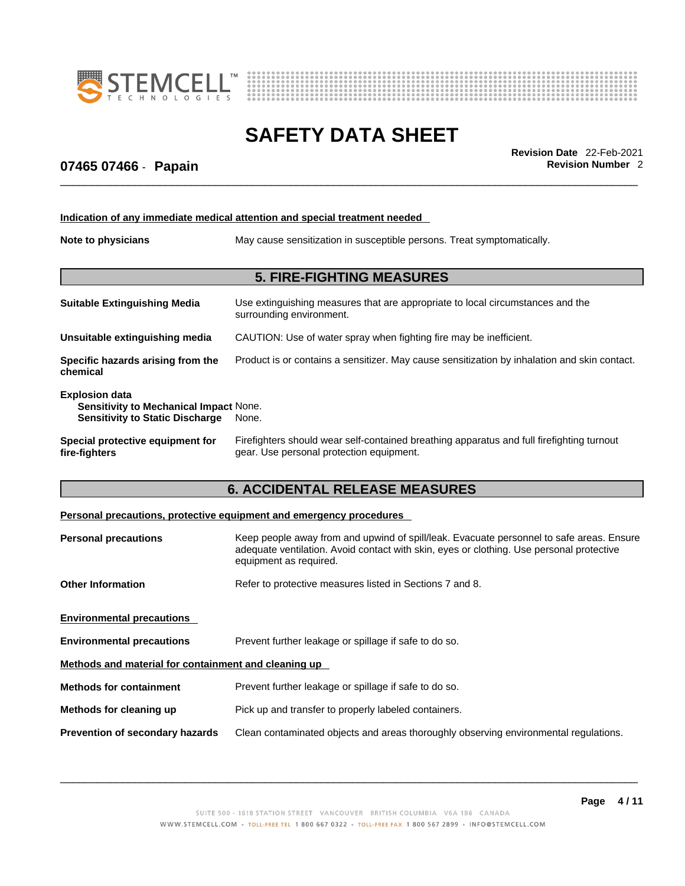



\_\_\_\_\_\_\_\_\_\_\_\_\_\_\_\_\_\_\_\_\_\_\_\_\_\_\_\_\_\_\_\_\_\_\_\_\_\_\_\_\_\_\_\_\_\_\_\_\_\_\_\_\_\_\_\_\_\_\_\_\_\_\_\_\_\_\_\_\_\_\_\_\_\_\_\_\_\_\_\_\_\_\_\_\_\_\_\_\_\_\_\_\_ **Revision Date** 22-Feb-2021

## **07465 07466** - **Papain Revision Number** 2

|                                                                                                           | Indication of any immediate medical attention and special treatment needed                                                                                                                                     |  |  |  |
|-----------------------------------------------------------------------------------------------------------|----------------------------------------------------------------------------------------------------------------------------------------------------------------------------------------------------------------|--|--|--|
| Note to physicians                                                                                        | May cause sensitization in susceptible persons. Treat symptomatically.                                                                                                                                         |  |  |  |
|                                                                                                           | <b>5. FIRE-FIGHTING MEASURES</b>                                                                                                                                                                               |  |  |  |
| <b>Suitable Extinguishing Media</b>                                                                       | Use extinguishing measures that are appropriate to local circumstances and the<br>surrounding environment.                                                                                                     |  |  |  |
| Unsuitable extinguishing media                                                                            | CAUTION: Use of water spray when fighting fire may be inefficient.                                                                                                                                             |  |  |  |
| Specific hazards arising from the<br>chemical                                                             | Product is or contains a sensitizer. May cause sensitization by inhalation and skin contact.                                                                                                                   |  |  |  |
| <b>Explosion data</b><br>Sensitivity to Mechanical Impact None.<br><b>Sensitivity to Static Discharge</b> | None.                                                                                                                                                                                                          |  |  |  |
| Special protective equipment for<br>fire-fighters                                                         | Firefighters should wear self-contained breathing apparatus and full firefighting turnout<br>gear. Use personal protection equipment.                                                                          |  |  |  |
|                                                                                                           | <b>6. ACCIDENTAL RELEASE MEASURES</b>                                                                                                                                                                          |  |  |  |
|                                                                                                           | Personal precautions, protective equipment and emergency procedures                                                                                                                                            |  |  |  |
| <b>Personal precautions</b>                                                                               | Keep people away from and upwind of spill/leak. Evacuate personnel to safe areas. Ensure<br>adequate ventilation. Avoid contact with skin, eyes or clothing. Use personal protective<br>equipment as required. |  |  |  |

**Other Information** Refer to protective measures listed in Sections 7 and 8.

|--|

**Environmental precautions** Prevent further leakage or spillage if safe to do so.

**Methods and material for containment and cleaning up**

| Methods for containment | Prevent further leakage or spillage if safe to do so. |
|-------------------------|-------------------------------------------------------|
|                         |                                                       |

- **Methods for cleaning up** Pick up and transfer to properly labeled containers.
- **Prevention of secondary hazards** Clean contaminated objects and areas thoroughly observing environmental regulations.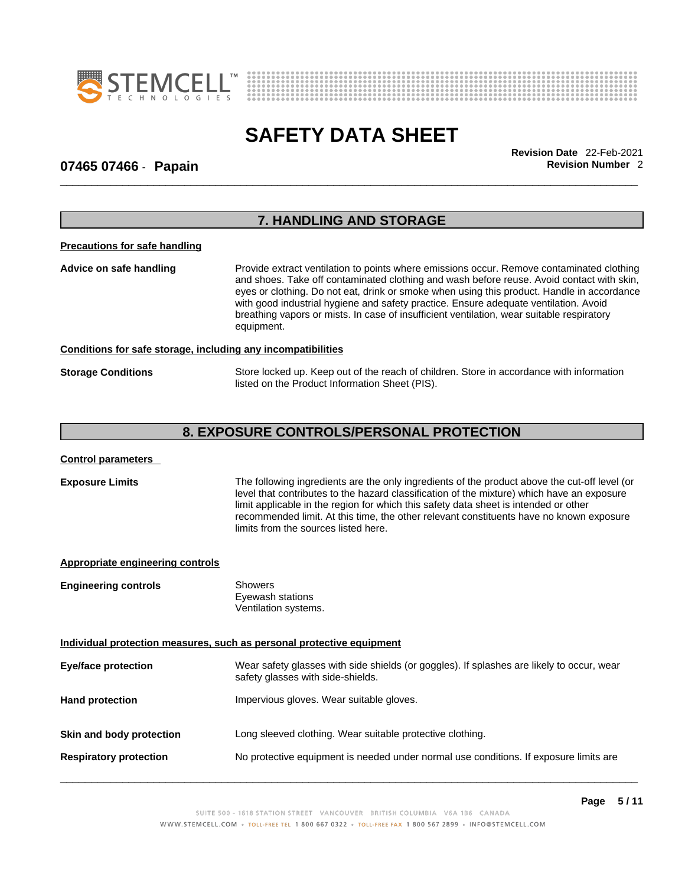



\_\_\_\_\_\_\_\_\_\_\_\_\_\_\_\_\_\_\_\_\_\_\_\_\_\_\_\_\_\_\_\_\_\_\_\_\_\_\_\_\_\_\_\_\_\_\_\_\_\_\_\_\_\_\_\_\_\_\_\_\_\_\_\_\_\_\_\_\_\_\_\_\_\_\_\_\_\_\_\_\_\_\_\_\_\_\_\_\_\_\_\_\_ **Revision Date** 22-Feb-2021

## **07465 07466** - **Papain Revision Number** 2

| <b>7. HANDLING AND STORAGE</b>       |                                                                                                                                                                                                                                                                                                                                                                                                                                                                                         |  |
|--------------------------------------|-----------------------------------------------------------------------------------------------------------------------------------------------------------------------------------------------------------------------------------------------------------------------------------------------------------------------------------------------------------------------------------------------------------------------------------------------------------------------------------------|--|
| <b>Precautions for safe handling</b> |                                                                                                                                                                                                                                                                                                                                                                                                                                                                                         |  |
| Advice on safe handling              | Provide extract ventilation to points where emissions occur. Remove contaminated clothing<br>and shoes. Take off contaminated clothing and wash before reuse. Avoid contact with skin,<br>eyes or clothing. Do not eat, drink or smoke when using this product. Handle in accordance<br>with good industrial hygiene and safety practice. Ensure adequate ventilation. Avoid<br>breathing vapors or mists. In case of insufficient ventilation, wear suitable respiratory<br>equipment. |  |
|                                      | Conditions for safe storage, including any incompatibilities                                                                                                                                                                                                                                                                                                                                                                                                                            |  |
| <b>Storage Conditions</b>            | Store locked up. Keep out of the reach of children. Store in accordance with information<br>listed on the Product Information Sheet (PIS).                                                                                                                                                                                                                                                                                                                                              |  |

# **8. EXPOSURE CONTROLS/PERSONAL PROTECTION**

| <b>Control parameters</b>               |                                                                                                                                                                                                                                                                                                                                                                                                                        |
|-----------------------------------------|------------------------------------------------------------------------------------------------------------------------------------------------------------------------------------------------------------------------------------------------------------------------------------------------------------------------------------------------------------------------------------------------------------------------|
| <b>Exposure Limits</b>                  | The following ingredients are the only ingredients of the product above the cut-off level (or<br>level that contributes to the hazard classification of the mixture) which have an exposure<br>limit applicable in the region for which this safety data sheet is intended or other<br>recommended limit. At this time, the other relevant constituents have no known exposure<br>limits from the sources listed here. |
| <b>Appropriate engineering controls</b> |                                                                                                                                                                                                                                                                                                                                                                                                                        |
| <b>Engineering controls</b>             | <b>Showers</b><br>Eyewash stations<br>Ventilation systems.                                                                                                                                                                                                                                                                                                                                                             |
|                                         | Individual protection measures, such as personal protective equipment                                                                                                                                                                                                                                                                                                                                                  |
| <b>Eye/face protection</b>              | Wear safety glasses with side shields (or goggles). If splashes are likely to occur, wear<br>safety glasses with side-shields.                                                                                                                                                                                                                                                                                         |
| <b>Hand protection</b>                  | Impervious gloves. Wear suitable gloves.                                                                                                                                                                                                                                                                                                                                                                               |
| Skin and body protection                | Long sleeved clothing. Wear suitable protective clothing.                                                                                                                                                                                                                                                                                                                                                              |
| <b>Respiratory protection</b>           | No protective equipment is needed under normal use conditions. If exposure limits are                                                                                                                                                                                                                                                                                                                                  |
|                                         |                                                                                                                                                                                                                                                                                                                                                                                                                        |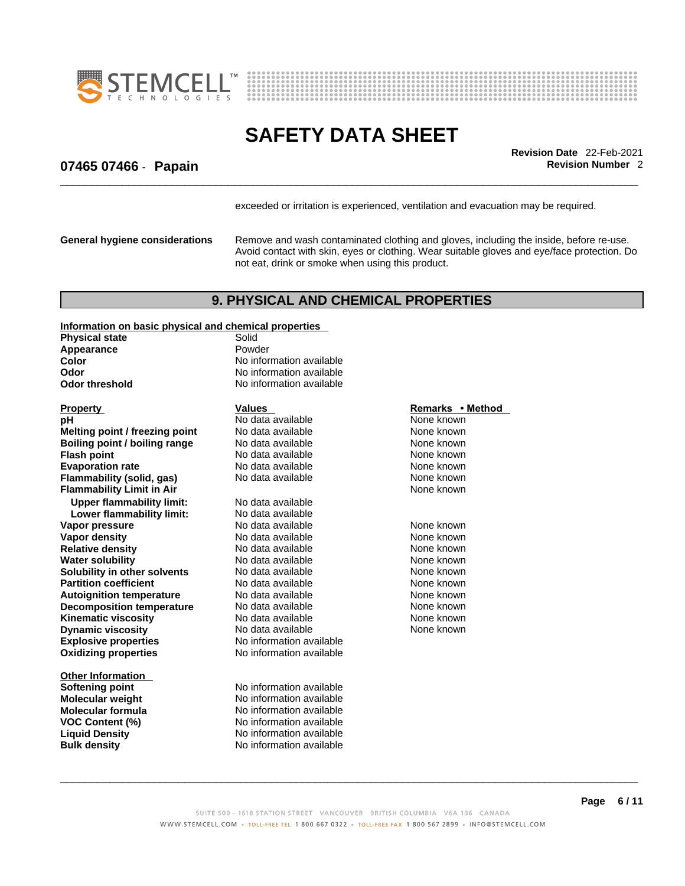



\_\_\_\_\_\_\_\_\_\_\_\_\_\_\_\_\_\_\_\_\_\_\_\_\_\_\_\_\_\_\_\_\_\_\_\_\_\_\_\_\_\_\_\_\_\_\_\_\_\_\_\_\_\_\_\_\_\_\_\_\_\_\_\_\_\_\_\_\_\_\_\_\_\_\_\_\_\_\_\_\_\_\_\_\_\_\_\_\_\_\_\_\_ **Revision Date** 22-Feb-2021

## **07465 07466** - **Papain Revision Number** 2

exceeded or irritation is experienced, ventilation and evacuation may be required.

**General hygiene considerations** Remove and wash contaminated clothing and gloves, including the inside, before re-use. Avoid contact with skin, eyes or clothing. Wear suitable gloves and eye/face protection. Do not eat, drink or smoke when using this product.

### **9. PHYSICAL AND CHEMICAL PROPERTIES**

**Information on basic physical and chemical properties**

**Physical state** Solid<br> **Annearance** Bowder **Appearance** 

**Explosive properties** No information available **Oxidizing properties** No information available **Property CONFING METHOD CONFING METHOD Values Remarks • Method pH Remarks** • **Method pH Melting point / freezing point** No data available None known<br> **Boiling point / boiling range** No data available None known **Boiling point / boiling range Flash point Contract Contract Contract Contract None Known None known None known Evaporation rate Reserve ACC** No data available **None known** None known **Flammability (solid, gas)** No data available None known **Flammability Limit in Air** None known **Upper flammability limit:** No data available **Lower flammability limit:** No data available **Vapor pressure** The Solution of the North More and None known<br> **Vapor density** No data available North None known **Vapor density No data available** None known **Relative density No data available** None known **Water solubility <br>
<b>Water solubility n** other solvents Modata available **None known**<br>
None known **Solubility in other solvents** No data available None known<br> **Partition coefficient** No data available None known<br>
None known **Partition coefficient Autoignition temperature** No data available None Known None known **Decomposition temperature** No data available None None known **Kinematic viscosity No data available None known Dynamic viscosity No data available None known** 

**Other Information Softening point** No information available **Molecular weight** No information available **Molecular formula** No information available **VOC Content (%)** No information available **Liquid Density**  $\overrightarrow{A}$  No information available **Bulk density No information available** 

**Color Color Color Color No** information available **Odor No** information available **Odor threshold** No information available

**Pho data available None known**<br> **PHO data available None known**<br>
None known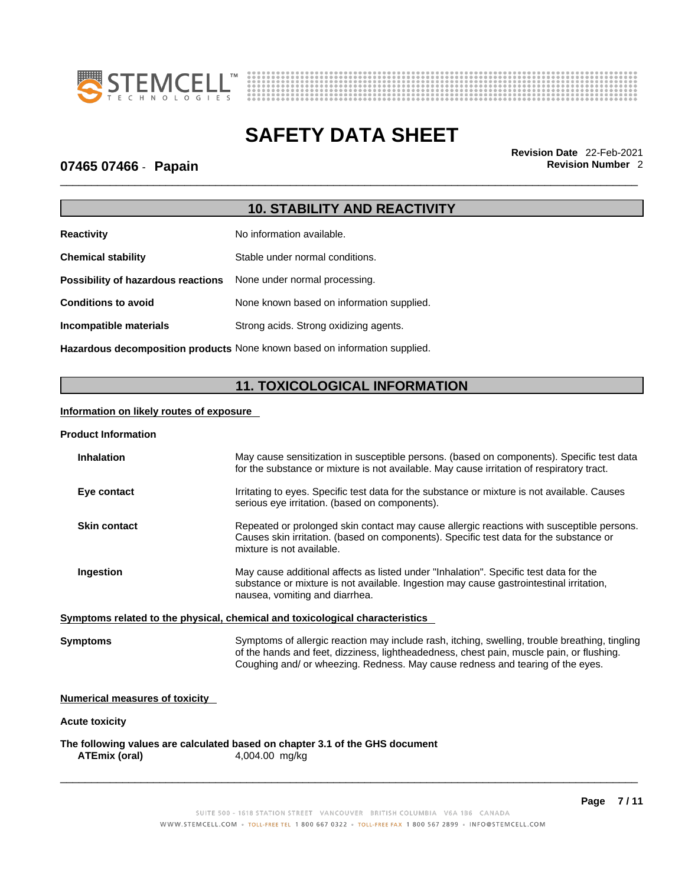



\_\_\_\_\_\_\_\_\_\_\_\_\_\_\_\_\_\_\_\_\_\_\_\_\_\_\_\_\_\_\_\_\_\_\_\_\_\_\_\_\_\_\_\_\_\_\_\_\_\_\_\_\_\_\_\_\_\_\_\_\_\_\_\_\_\_\_\_\_\_\_\_\_\_\_\_\_\_\_\_\_\_\_\_\_\_\_\_\_\_\_\_\_ **Revision Date** 22-Feb-2021

## **07465 07466** - **Papain Revision Number** 2

# **10. STABILITY AND REACTIVITY**

| <b>Reactivity</b>                                                       | No information available.                 |
|-------------------------------------------------------------------------|-------------------------------------------|
| <b>Chemical stability</b>                                               | Stable under normal conditions.           |
| <b>Possibility of hazardous reactions</b> None under normal processing. |                                           |
| <b>Conditions to avoid</b>                                              | None known based on information supplied. |
| Incompatible materials                                                  | Strong acids. Strong oxidizing agents.    |
|                                                                         |                                           |

**Hazardous decomposition products** None known based on information supplied.

# **11. TOXICOLOGICAL INFORMATION**

### **Information on likely routes of exposure**

#### **Product Information**

| <b>Inhalation</b>              | May cause sensitization in susceptible persons. (based on components). Specific test data<br>for the substance or mixture is not available. May cause irritation of respiratory tract.                                                                                       |
|--------------------------------|------------------------------------------------------------------------------------------------------------------------------------------------------------------------------------------------------------------------------------------------------------------------------|
| Eye contact                    | Irritating to eyes. Specific test data for the substance or mixture is not available. Causes<br>serious eye irritation. (based on components).                                                                                                                               |
| <b>Skin contact</b>            | Repeated or prolonged skin contact may cause allergic reactions with susceptible persons.<br>Causes skin irritation. (based on components). Specific test data for the substance or<br>mixture is not available.                                                             |
| Ingestion                      | May cause additional affects as listed under "Inhalation". Specific test data for the<br>substance or mixture is not available. Ingestion may cause gastrointestinal irritation,<br>nausea, vomiting and diarrhea.                                                           |
|                                | Symptoms related to the physical, chemical and toxicological characteristics                                                                                                                                                                                                 |
| Symptoms                       | Symptoms of allergic reaction may include rash, itching, swelling, trouble breathing, tingling<br>of the hands and feet, dizziness, lightheadedness, chest pain, muscle pain, or flushing.<br>Coughing and/ or wheezing. Redness. May cause redness and tearing of the eyes. |
| Numerical measures of toxicity |                                                                                                                                                                                                                                                                              |
| <b>Acute toxicity</b>          |                                                                                                                                                                                                                                                                              |
|                                |                                                                                                                                                                                                                                                                              |

**The following values are calculated based on chapter 3.1 of the GHS document ATEmix (oral)** 4,004.00 mg/kg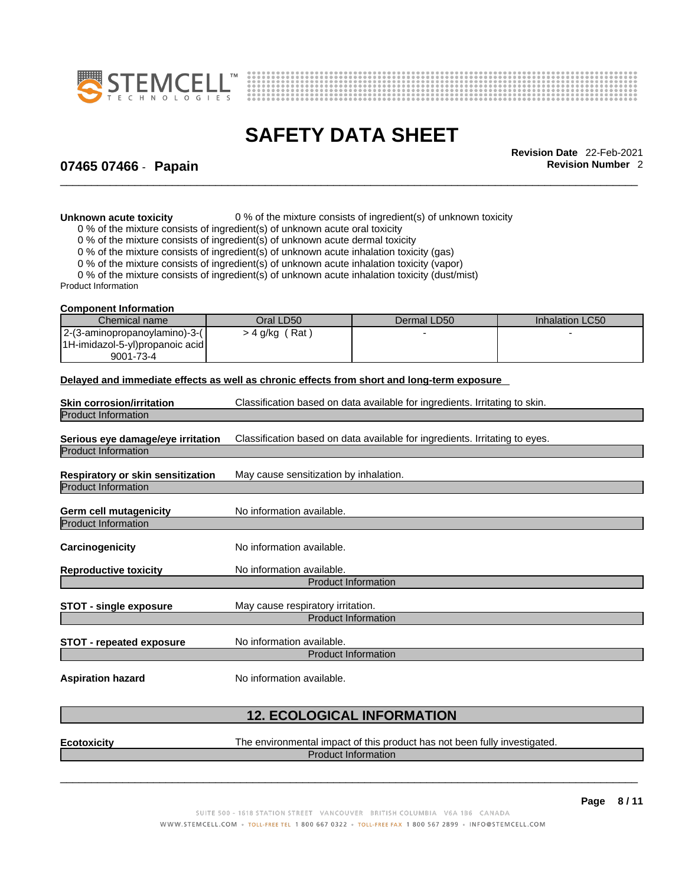



\_\_\_\_\_\_\_\_\_\_\_\_\_\_\_\_\_\_\_\_\_\_\_\_\_\_\_\_\_\_\_\_\_\_\_\_\_\_\_\_\_\_\_\_\_\_\_\_\_\_\_\_\_\_\_\_\_\_\_\_\_\_\_\_\_\_\_\_\_\_\_\_\_\_\_\_\_\_\_\_\_\_\_\_\_\_\_\_\_\_\_\_\_ **Revision Date** 22-Feb-2021

## **07465 07466** - **Papain Revision Number** 2

**Unknown acute toxicity** 0 % of the mixture consists of ingredient(s) of unknown toxicity

0 % of the mixture consists of ingredient(s) of unknown acute oral toxicity

0 % of the mixture consists of ingredient(s) of unknown acute dermal toxicity

0 % of the mixture consists of ingredient(s) of unknown acute inhalation toxicity (gas)

0 % of the mixture consists of ingredient(s) of unknown acute inhalation toxicity (vapor)

0 % of the mixture consists of ingredient(s) of unknown acute inhalation toxicity (dust/mist)

Product Information

#### **Component Information**

| Chemical name                   | Oral LD50        | Dermal LD50 | Inhalation LC50 |
|---------------------------------|------------------|-------------|-----------------|
| 2-(3-aminopropanoylamino)-3-(   | (Rat<br>- 4 g/kg |             |                 |
| 1H-imidazol-5-yl)propanoic acid |                  |             |                 |
| 9001-73-4                       |                  |             |                 |

#### **Delayed and immediate effects as well as chronic effects from short and long-term exposure**

| <b>Skin corrosion/irritation</b>                                | Classification based on data available for ingredients. Irritating to skin. |
|-----------------------------------------------------------------|-----------------------------------------------------------------------------|
| <b>Product Information</b>                                      |                                                                             |
| Serious eye damage/eye irritation<br><b>Product Information</b> | Classification based on data available for ingredients. Irritating to eyes. |
| Respiratory or skin sensitization                               | May cause sensitization by inhalation.                                      |
| <b>Product Information</b>                                      |                                                                             |
| Germ cell mutagenicity                                          | No information available.                                                   |
| <b>Product Information</b>                                      |                                                                             |
| Carcinogenicity                                                 | No information available.                                                   |
| <b>Reproductive toxicity</b>                                    | No information available.                                                   |
|                                                                 | <b>Product Information</b>                                                  |
| STOT - single exposure                                          | May cause respiratory irritation.                                           |
|                                                                 | <b>Product Information</b>                                                  |
| <b>STOT - repeated exposure</b>                                 | No information available.                                                   |
|                                                                 | <b>Product Information</b>                                                  |
|                                                                 |                                                                             |

**Aspiration hazard** No information available.

## **12. ECOLOGICAL INFORMATION**

**Ecotoxicity** The environmental impact of this product has not been fully investigated.

Product Information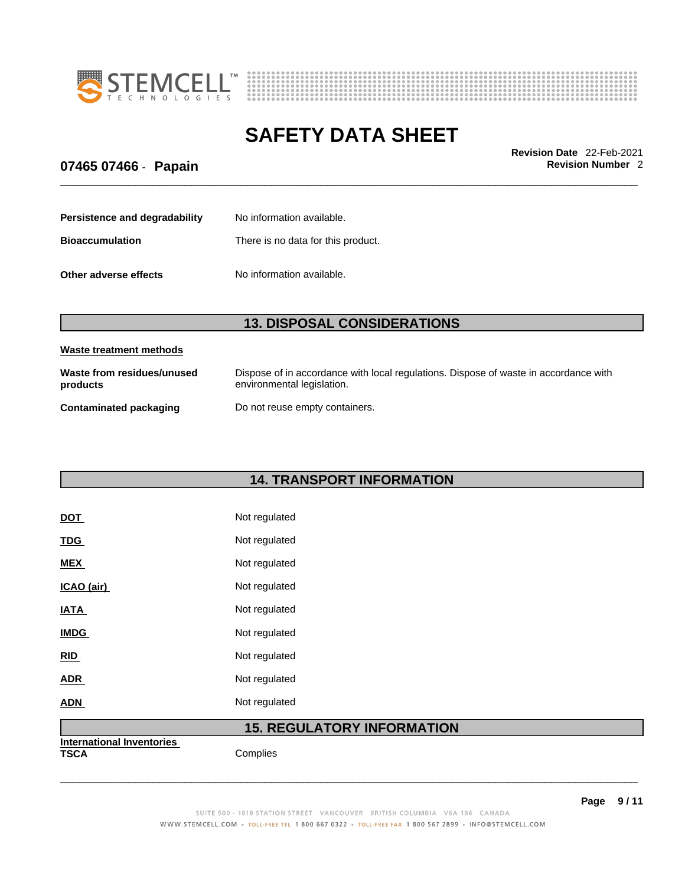



\_\_\_\_\_\_\_\_\_\_\_\_\_\_\_\_\_\_\_\_\_\_\_\_\_\_\_\_\_\_\_\_\_\_\_\_\_\_\_\_\_\_\_\_\_\_\_\_\_\_\_\_\_\_\_\_\_\_\_\_\_\_\_\_\_\_\_\_\_\_\_\_\_\_\_\_\_\_\_\_\_\_\_\_\_\_\_\_\_\_\_\_\_ **Revision Date** 22-Feb-2021

# **07465 07466** - **Papain Revision Number** 2

| Persistence and degradability | No information available.          |
|-------------------------------|------------------------------------|
| <b>Bioaccumulation</b>        | There is no data for this product. |
| Other adverse effects         | No information available.          |

# **13. DISPOSAL CONSIDERATIONS**

| Waste treatment methods                |                                                                                                                    |
|----------------------------------------|--------------------------------------------------------------------------------------------------------------------|
| Waste from residues/unused<br>products | Dispose of in accordance with local regulations. Dispose of waste in accordance with<br>environmental legislation. |
| Contaminated packaging                 | Do not reuse empty containers.                                                                                     |

# **14. TRANSPORT INFORMATION**

| DOT         | Not regulated |
|-------------|---------------|
| <b>TDG</b>  | Not regulated |
| <b>MEX</b>  | Not regulated |
| ICAO (air)  | Not regulated |
| <b>IATA</b> | Not regulated |
| <b>IMDG</b> | Not regulated |
| <b>RID</b>  | Not regulated |
| ADR         | Not regulated |
| ADN         | Not regulated |

# **15. REGULATORY INFORMATION**

 $\_$  ,  $\_$  ,  $\_$  ,  $\_$  ,  $\_$  ,  $\_$  ,  $\_$  ,  $\_$  ,  $\_$  ,  $\_$  ,  $\_$  ,  $\_$  ,  $\_$  ,  $\_$  ,  $\_$  ,  $\_$  ,  $\_$  ,  $\_$  ,  $\_$  ,  $\_$  ,  $\_$  ,  $\_$  ,  $\_$  ,  $\_$  ,  $\_$  ,  $\_$  ,  $\_$  ,  $\_$  ,  $\_$  ,  $\_$  ,  $\_$  ,  $\_$  ,  $\_$  ,  $\_$  ,  $\_$  ,  $\_$  ,  $\_$  ,

**International Inventories**

Complies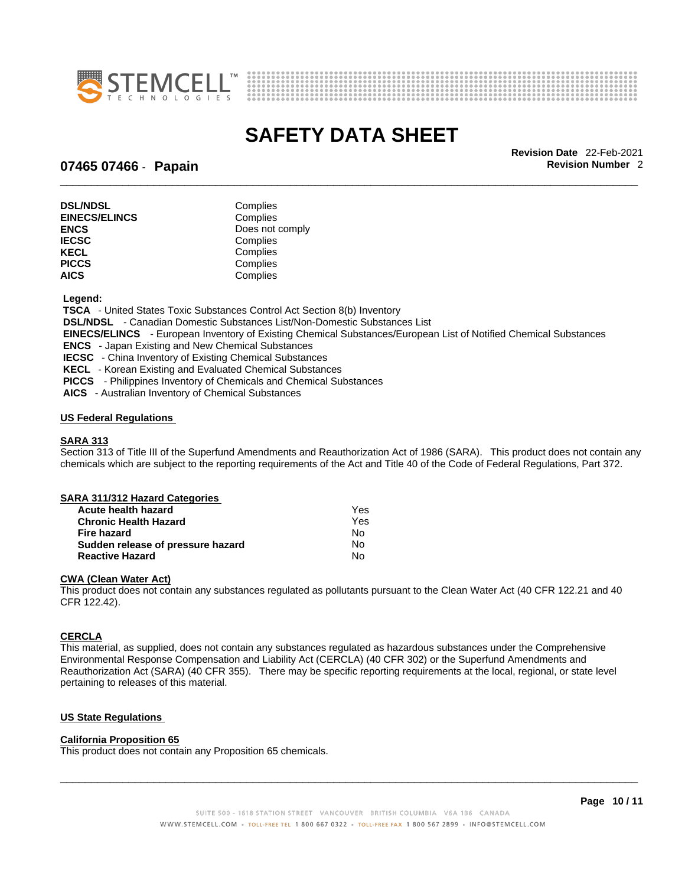



\_\_\_\_\_\_\_\_\_\_\_\_\_\_\_\_\_\_\_\_\_\_\_\_\_\_\_\_\_\_\_\_\_\_\_\_\_\_\_\_\_\_\_\_\_\_\_\_\_\_\_\_\_\_\_\_\_\_\_\_\_\_\_\_\_\_\_\_\_\_\_\_\_\_\_\_\_\_\_\_\_\_\_\_\_\_\_\_\_\_\_\_\_ **Revision Date** 22-Feb-2021

## **07465 07466** - **Papain Revision Number** 2

| Complies        |
|-----------------|
| Complies        |
| Does not comply |
| Complies        |
| Complies        |
| Complies        |
| Complies        |
|                 |

 **Legend:** 

 **TSCA** - United States Toxic Substances Control Act Section 8(b) Inventory

 **DSL/NDSL** - Canadian Domestic Substances List/Non-Domestic Substances List

 **EINECS/ELINCS** - European Inventory of Existing Chemical Substances/European List of Notified Chemical Substances

 **ENCS** - Japan Existing and New Chemical Substances

 **IECSC** - China Inventory of Existing Chemical Substances

 **KECL** - Korean Existing and Evaluated Chemical Substances

 **PICCS** - Philippines Inventory of Chemicals and Chemical Substances

 **AICS** - Australian Inventory of Chemical Substances

#### **US Federal Regulations**

#### **SARA 313**

Section 313 of Title III of the Superfund Amendments and Reauthorization Act of 1986 (SARA). This product does not contain any chemicals which are subject to the reporting requirements of the Act and Title 40 of the Code of Federal Regulations, Part 372.

| SARA 311/312 Hazard Categories    |     |  |
|-----------------------------------|-----|--|
| Acute health hazard               | Yes |  |
| <b>Chronic Health Hazard</b>      | Yes |  |
| <b>Fire hazard</b>                | No  |  |
| Sudden release of pressure hazard | No  |  |
| <b>Reactive Hazard</b>            | No  |  |

#### **CWA** (Clean Water Act)

This product does not contain any substances regulated as pollutants pursuant to the Clean Water Act (40 CFR 122.21 and 40 CFR 122.42).

#### **CERCLA**

This material, as supplied, does not contain any substances regulated as hazardous substances under the Comprehensive Environmental Response Compensation and Liability Act (CERCLA) (40 CFR 302) or the Superfund Amendments and Reauthorization Act (SARA) (40 CFR 355). There may be specific reporting requirements at the local, regional, or state level pertaining to releases of this material.

#### **US State Regulations**

#### **California Proposition 65**

This product does not contain any Proposition 65 chemicals.